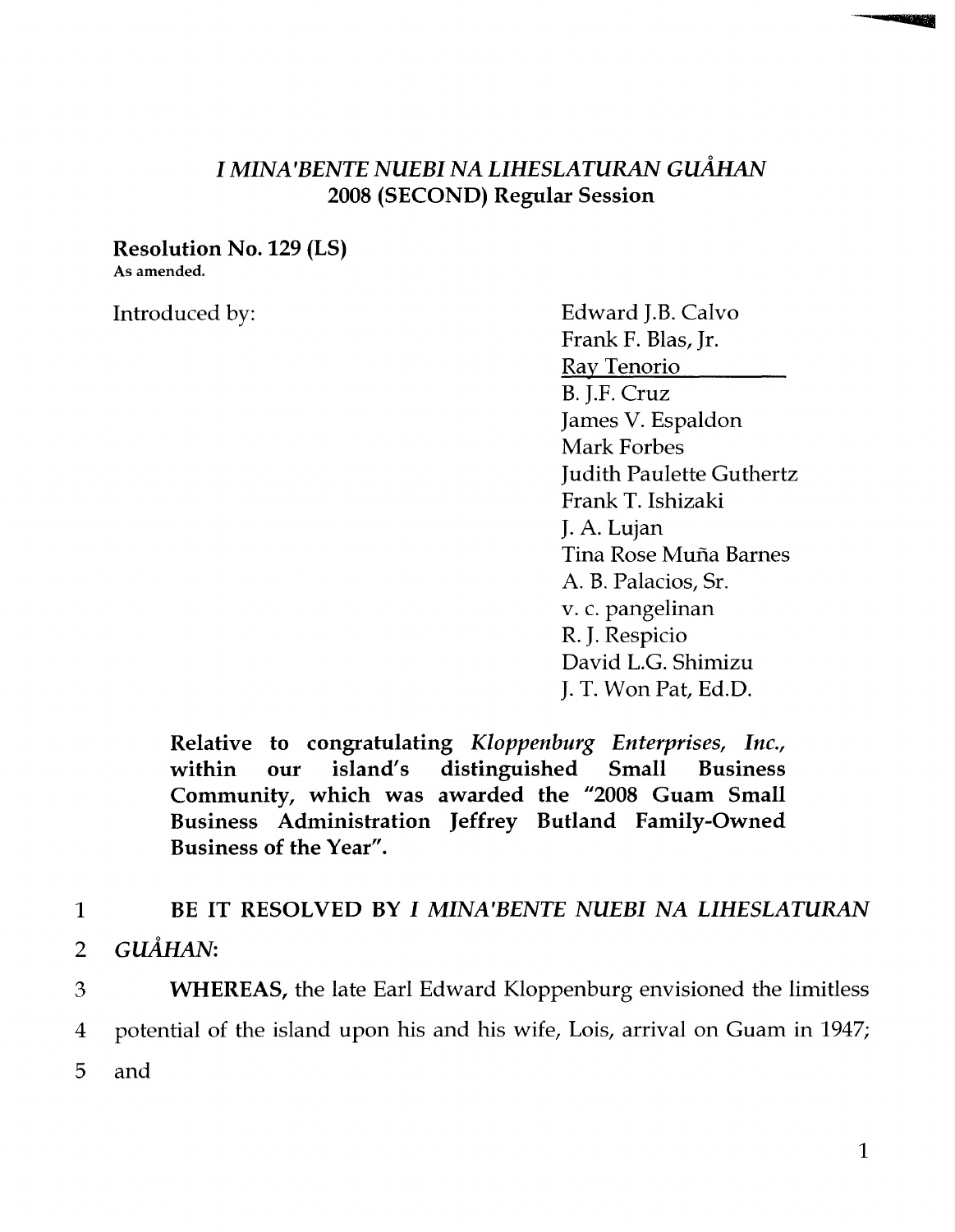## *I MINA'BENTE NUEBI NA LIHESLATURAN GuAlIAN*  2008 (SECOND) Regular Session

Resolution No. 129 (LS)

As amended.

Introduced by: Edward J.B. Calvo Frank F. Blas, Jr. Ray Tenorio B. J.F. Cruz James V. Espaldon Mark Forbes Judith Paulette Guthertz Frank T. Ishizaki J. A. Lujan Tina Rose Muna Barnes A. B. Palacios, Sr. v. c. pangelinan R. J. Respicio David L.G. Shimizu J. T. Won Pat, Ed.D.

Relative to congratulating *Kloppenburg Enterprises, Inc.,*  within our island's distinguished Small Business Community, which was awarded the "2008 Guam Small Business Administration Jeffrey Butland Family-Owned Business of the Year".

## 1 BE IT RESOLVED BY *I MINA'BENTE NUEBI NA LIHESLATURAN*

2  $G\ddot{U}$  $\AA$ HAN:

3 WHEREAS, the late Earl Edward Kloppenburg envisioned the limitless 4 potential of the island upon his and his wife, Lois, arrival on Guam in 1947; 5 and

E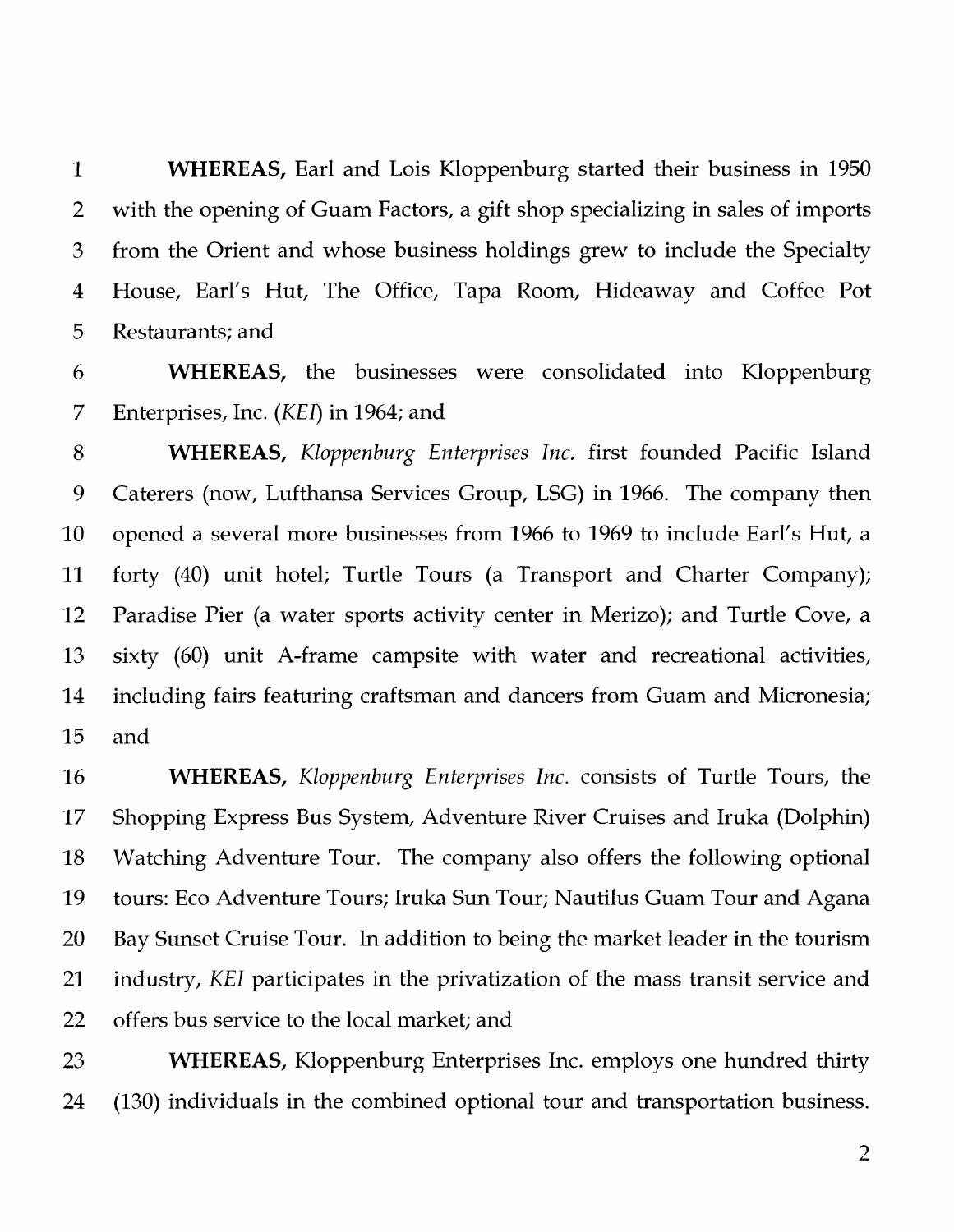**1 WHEREAS,** Earl and Lois Kloppenburg started their business in 1950 2 with the opening of Guam Factors, a gift shop specializing in sales of imports 3 from the Orient and whose business holdings grew to include the Specialty 4 House, Earl's Hut, The Office, Tapa Room, Hideaway and Coffee Pot 5 Restaurants; and

6 **WHEREAS,** the businesses were consolidated into Kloppenburg 7 Enterprises, Inc. *(KEI)* in 1964; and

8 **WHEREAS,** *Kloppenburg Enterprises Inc.* first founded Pacific Island 9 Caterers (now, Lufthansa Services Group, LSG) in 1966. The company then 10 opened a several more businesses from 1966 to 1969 to include Earl's Hut, a 11 forty (40) unit hotel; Turtle Tours (a Transport and Charter Company); 12 Paradise Pier (a water sports activity center in Merizo); and Turtle Cove, a 13 sixty (60) unit A-frame campsite with water and recreational activities, 14 including fairs featuring craftsman and dancers from Guam and Micronesia; 15 and

16 **WHEREAS,** *Kloppenburg Enterprises Inc.* consists of Turtle Tours, the 17 Shopping Express Bus System, Adventure River Cruises and Iruka (Dolphin) 18 Watching Adventure Tour. The company also offers the following optional 19 tours: Eco Adventure Tours; Iruka Sun Tour; Nautilus Guam Tour and Agana 20 Bay Sunset Cruise Tour. In addition to being the market leader in the tourism 21 industry, *KEI* participates in the privatization of the mass transit service and 22 offers bus service to the local market; and

23 **WHEREAS,** Kloppenburg Enterprises Inc. employs one hundred thirty 24 (130) individuals in the combined optional tour and transportation business.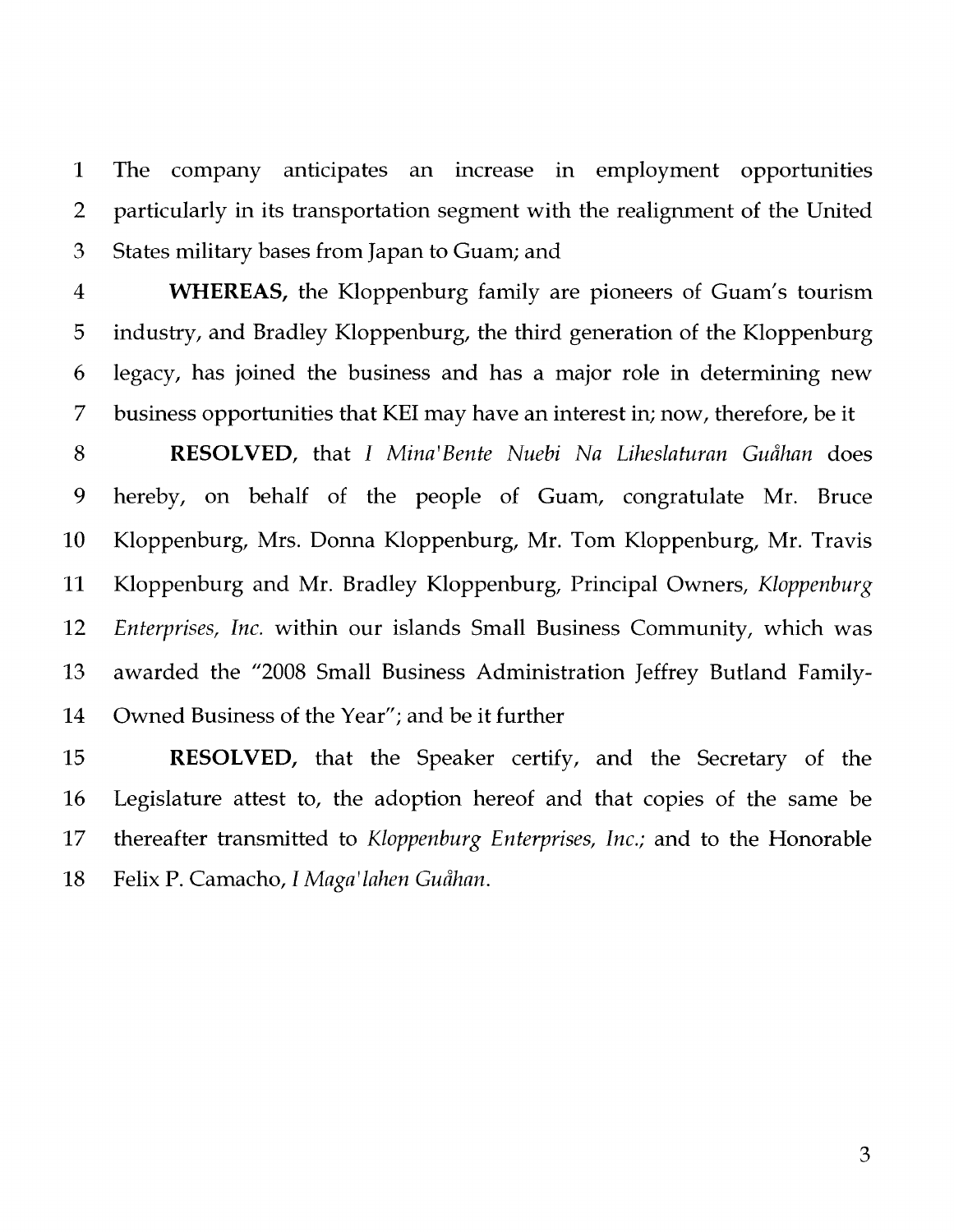1 The company anticipates an increase in employment opportunities 2 particularly in its transportation segment with the realignment of the United 3 States military bases from Japan to Guam; and

4 **WHEREAS,** the Kloppenburg family are pioneers of Guam's tourism 5 industry, and Bradley Kloppenburg, the third generation of the Kloppenburg 6 legacy, has joined the business and has a major role in determining new 7 business opportunities that KEI may have an interest in; now, therefore, be it

8 **RESOLVED,** that *I Mina'Bente Nuebi Na Liheslaturan Guahan* does 9 hereby, on behalf of the people of Guam, congratulate Mr. Bruce 10 Kloppenburg, Mrs. Donna Kloppenburg, Mr. Tom Kloppenburg, Mr. Travis 11 Kloppenburg and Mr. Bradley Kloppenburg, Principal Owners, *Kloppenburg*  12 *Enterprises, Inc.* within our islands Small Business Community, which was 13 awarded the "2008 Small Business Administration Jeffrey Butland Family-14 Owned Business of the Year"; and be it further

15 **RESOLVED,** that the Speaker certify, and the Secretary of the 16 Legislature attest to, the adoption hereof and that copies of the same be 17 thereafter transmitted to *Kloppenburg Enterprises, Inc.;* and to the Honorable 18 Felix P. Camacho, *I Maga' lahen Guahan.*